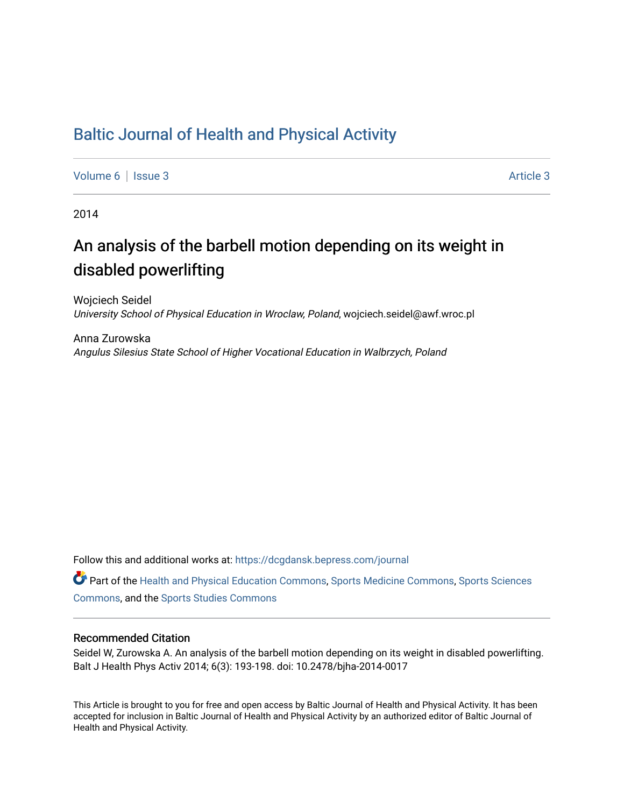# [Baltic Journal of Health and Physical Activity](https://dcgdansk.bepress.com/journal)

[Volume 6](https://dcgdansk.bepress.com/journal/vol6) | [Issue 3](https://dcgdansk.bepress.com/journal/vol6/iss3) Article 3

2014

# An analysis of the barbell motion depending on its weight in disabled powerlifting

Wojciech Seidel University School of Physical Education in Wroclaw, Poland, wojciech.seidel@awf.wroc.pl

Anna Zurowska Angulus Silesius State School of Higher Vocational Education in Walbrzych, Poland

Follow this and additional works at: [https://dcgdansk.bepress.com/journal](https://dcgdansk.bepress.com/journal?utm_source=dcgdansk.bepress.com%2Fjournal%2Fvol6%2Fiss3%2F3&utm_medium=PDF&utm_campaign=PDFCoverPages)

Part of the [Health and Physical Education Commons](http://network.bepress.com/hgg/discipline/1327?utm_source=dcgdansk.bepress.com%2Fjournal%2Fvol6%2Fiss3%2F3&utm_medium=PDF&utm_campaign=PDFCoverPages), [Sports Medicine Commons,](http://network.bepress.com/hgg/discipline/1331?utm_source=dcgdansk.bepress.com%2Fjournal%2Fvol6%2Fiss3%2F3&utm_medium=PDF&utm_campaign=PDFCoverPages) [Sports Sciences](http://network.bepress.com/hgg/discipline/759?utm_source=dcgdansk.bepress.com%2Fjournal%2Fvol6%2Fiss3%2F3&utm_medium=PDF&utm_campaign=PDFCoverPages) [Commons](http://network.bepress.com/hgg/discipline/759?utm_source=dcgdansk.bepress.com%2Fjournal%2Fvol6%2Fiss3%2F3&utm_medium=PDF&utm_campaign=PDFCoverPages), and the [Sports Studies Commons](http://network.bepress.com/hgg/discipline/1198?utm_source=dcgdansk.bepress.com%2Fjournal%2Fvol6%2Fiss3%2F3&utm_medium=PDF&utm_campaign=PDFCoverPages) 

#### Recommended Citation

Seidel W, Zurowska A. An analysis of the barbell motion depending on its weight in disabled powerlifting. Balt J Health Phys Activ 2014; 6(3): 193-198. doi: 10.2478/bjha-2014-0017

This Article is brought to you for free and open access by Baltic Journal of Health and Physical Activity. It has been accepted for inclusion in Baltic Journal of Health and Physical Activity by an authorized editor of Baltic Journal of Health and Physical Activity.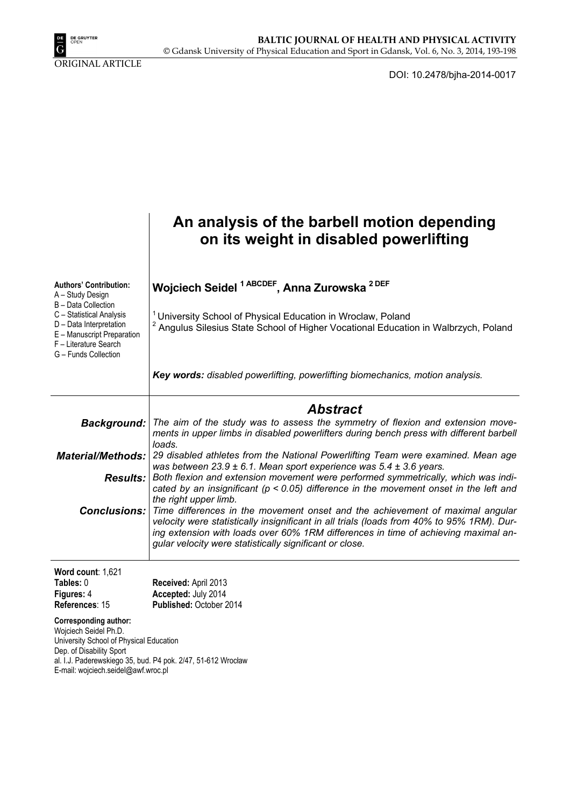

ORIGINAL ARTICLE

DOI: 10.2478/bjha-2014-0017

|                                                                                                                                                                                                                                     | An analysis of the barbell motion depending<br>on its weight in disabled powerlifting                                                                                                                                                                                                                                       |
|-------------------------------------------------------------------------------------------------------------------------------------------------------------------------------------------------------------------------------------|-----------------------------------------------------------------------------------------------------------------------------------------------------------------------------------------------------------------------------------------------------------------------------------------------------------------------------|
| <b>Authors' Contribution:</b><br>A - Study Design<br>B - Data Collection                                                                                                                                                            | Wojciech Seidel <sup>1 ABCDEF</sup> , Anna Zurowska <sup>2 DEF</sup>                                                                                                                                                                                                                                                        |
| C - Statistical Analysis<br>D - Data Interpretation<br>E - Manuscript Preparation<br>F - Literature Search<br>G - Funds Collection                                                                                                  | <sup>1</sup> University School of Physical Education in Wroclaw, Poland<br><sup>2</sup> Angulus Silesius State School of Higher Vocational Education in Walbrzych, Poland                                                                                                                                                   |
|                                                                                                                                                                                                                                     | Key words: disabled powerlifting, powerlifting biomechanics, motion analysis.                                                                                                                                                                                                                                               |
|                                                                                                                                                                                                                                     | Abstract                                                                                                                                                                                                                                                                                                                    |
| <b>Background:</b>                                                                                                                                                                                                                  | The aim of the study was to assess the symmetry of flexion and extension move-<br>ments in upper limbs in disabled powerlifters during bench press with different barbell<br>loads.                                                                                                                                         |
| <b>Material/Methods:</b>                                                                                                                                                                                                            | 29 disabled athletes from the National Powerlifting Team were examined. Mean age<br>was between $23.9 \pm 6.1$ . Mean sport experience was $5.4 \pm 3.6$ years.                                                                                                                                                             |
| <b>Results:</b>                                                                                                                                                                                                                     | Both flexion and extension movement were performed symmetrically, which was indi-<br>cated by an insignificant ( $p < 0.05$ ) difference in the movement onset in the left and<br>the right upper limb.                                                                                                                     |
| <b>Conclusions:</b>                                                                                                                                                                                                                 | Time differences in the movement onset and the achievement of maximal angular<br>velocity were statistically insignificant in all trials (loads from 40% to 95% 1RM). Dur-<br>ing extension with loads over 60% 1RM differences in time of achieving maximal an-<br>gular velocity were statistically significant or close. |
| Word count: 1,621                                                                                                                                                                                                                   |                                                                                                                                                                                                                                                                                                                             |
| Tables: 0<br>Figures: 4                                                                                                                                                                                                             | Received: April 2013<br>Accepted: July 2014                                                                                                                                                                                                                                                                                 |
| References: 15                                                                                                                                                                                                                      | Published: October 2014                                                                                                                                                                                                                                                                                                     |
| <b>Corresponding author:</b><br>Wojciech Seidel Ph.D.<br>University School of Physical Education<br>Dep. of Disability Sport<br>al. I.J. Paderewskiego 35, bud. P4 pok. 2/47, 51-612 Wrocław<br>E-mail: wojciech.seidel@awf.wroc.pl |                                                                                                                                                                                                                                                                                                                             |
|                                                                                                                                                                                                                                     |                                                                                                                                                                                                                                                                                                                             |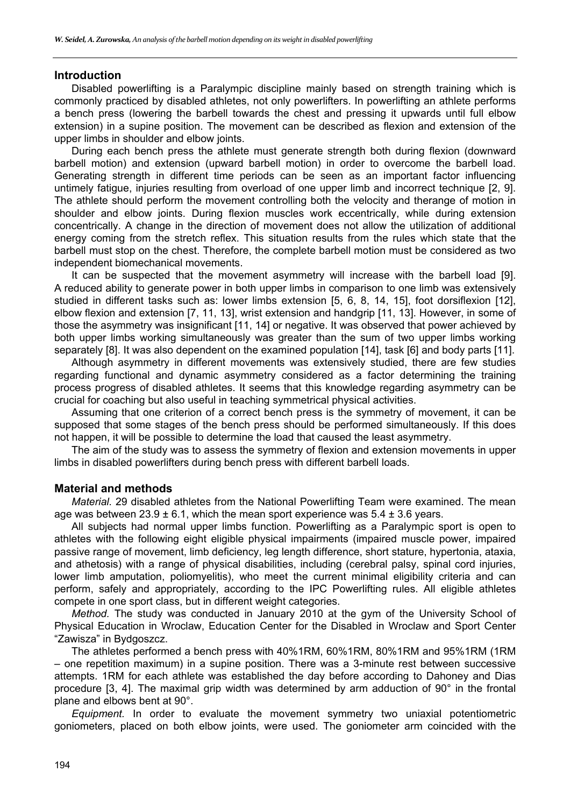#### **Introduction**

Disabled powerlifting is a Paralympic discipline mainly based on strength training which is commonly practiced by disabled athletes, not only powerlifters. In powerlifting an athlete performs a bench press (lowering the barbell towards the chest and pressing it upwards until full elbow extension) in a supine position. The movement can be described as flexion and extension of the upper limbs in shoulder and elbow joints.

During each bench press the athlete must generate strength both during flexion (downward barbell motion) and extension (upward barbell motion) in order to overcome the barbell load. Generating strength in different time periods can be seen as an important factor influencing untimely fatigue, injuries resulting from overload of one upper limb and incorrect technique [2, 9]. The athlete should perform the movement controlling both the velocity and therange of motion in shoulder and elbow joints. During flexion muscles work eccentrically, while during extension concentrically. A change in the direction of movement does not allow the utilization of additional energy coming from the stretch reflex. This situation results from the rules which state that the barbell must stop on the chest. Therefore, the complete barbell motion must be considered as two independent biomechanical movements.

It can be suspected that the movement asymmetry will increase with the barbell load [9]. A reduced ability to generate power in both upper limbs in comparison to one limb was extensively studied in different tasks such as: lower limbs extension [5, 6, 8, 14, 15], foot dorsiflexion [12], elbow flexion and extension [7, 11, 13], wrist extension and handgrip [11, 13]. However, in some of those the asymmetry was insignificant [11, 14] or negative. It was observed that power achieved by both upper limbs working simultaneously was greater than the sum of two upper limbs working separately [8]. It was also dependent on the examined population [14], task [6] and body parts [11].

Although asymmetry in different movements was extensively studied, there are few studies regarding functional and dynamic asymmetry considered as a factor determining the training process progress of disabled athletes. It seems that this knowledge regarding asymmetry can be crucial for coaching but also useful in teaching symmetrical physical activities.

Assuming that one criterion of a correct bench press is the symmetry of movement, it can be supposed that some stages of the bench press should be performed simultaneously. If this does not happen, it will be possible to determine the load that caused the least asymmetry.

The aim of the study was to assess the symmetry of flexion and extension movements in upper limbs in disabled powerlifters during bench press with different barbell loads.

#### **Material and methods**

*Material.* 29 disabled athletes from the National Powerlifting Team were examined. The mean age was between  $23.9 \pm 6.1$ , which the mean sport experience was  $5.4 \pm 3.6$  years.

All subjects had normal upper limbs function. Powerlifting as a Paralympic sport is open to athletes with the following eight eligible physical impairments (impaired muscle power, impaired passive range of movement, limb deficiency, leg length difference, short stature, hypertonia, ataxia, and athetosis) with a range of physical disabilities, including (cerebral palsy, spinal cord injuries, lower limb amputation, poliomyelitis), who meet the current minimal eligibility criteria and can perform, safely and appropriately, according to the IPC Powerlifting rules. All eligible athletes compete in one sport class, but in different weight categories.

*Method.* The study was conducted in January 2010 at the gym of the University School of Physical Education in Wroclaw, Education Center for the Disabled in Wroclaw and Sport Center "Zawisza" in Bydgoszcz.

The athletes performed a bench press with 40%1RM, 60%1RM, 80%1RM and 95%1RM (1RM – one repetition maximum) in a supine position. There was a 3-minute rest between successive attempts. 1RM for each athlete was established the day before according to Dahoney and Dias procedure [3, 4]. The maximal grip width was determined by arm adduction of 90° in the frontal plane and elbows bent at 90°.

*Equipment.* In order to evaluate the movement symmetry two uniaxial potentiometric goniometers, placed on both elbow joints, were used. The goniometer arm coincided with the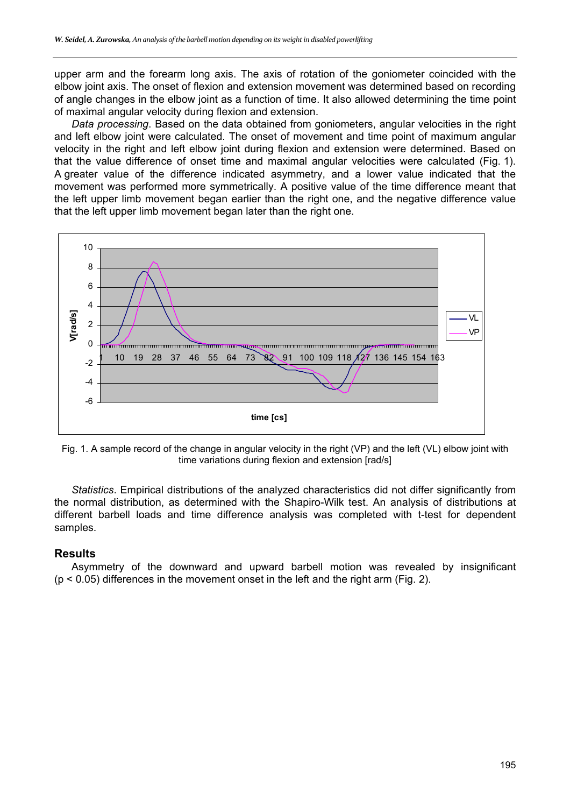upper arm and the forearm long axis. The axis of rotation of the goniometer coincided with the elbow joint axis. The onset of flexion and extension movement was determined based on recording of angle changes in the elbow joint as a function of time. It also allowed determining the time point of maximal angular velocity during flexion and extension.

*Data processing*. Based on the data obtained from goniometers, angular velocities in the right and left elbow joint were calculated. The onset of movement and time point of maximum angular velocity in the right and left elbow joint during flexion and extension were determined. Based on that the value difference of onset time and maximal angular velocities were calculated (Fig. 1). A greater value of the difference indicated asymmetry, and a lower value indicated that the movement was performed more symmetrically. A positive value of the time difference meant that the left upper limb movement began earlier than the right one, and the negative difference value that the left upper limb movement began later than the right one.



Fig. 1. A sample record of the change in angular velocity in the right (VP) and the left (VL) elbow joint with time variations during flexion and extension [rad/s]

*Statistics*. Empirical distributions of the analyzed characteristics did not differ significantly from the normal distribution, as determined with the Shapiro-Wilk test. An analysis of distributions at different barbell loads and time difference analysis was completed with t-test for dependent samples.

#### **Results**

Asymmetry of the downward and upward barbell motion was revealed by insignificant (p < 0.05) differences in the movement onset in the left and the right arm (Fig. 2).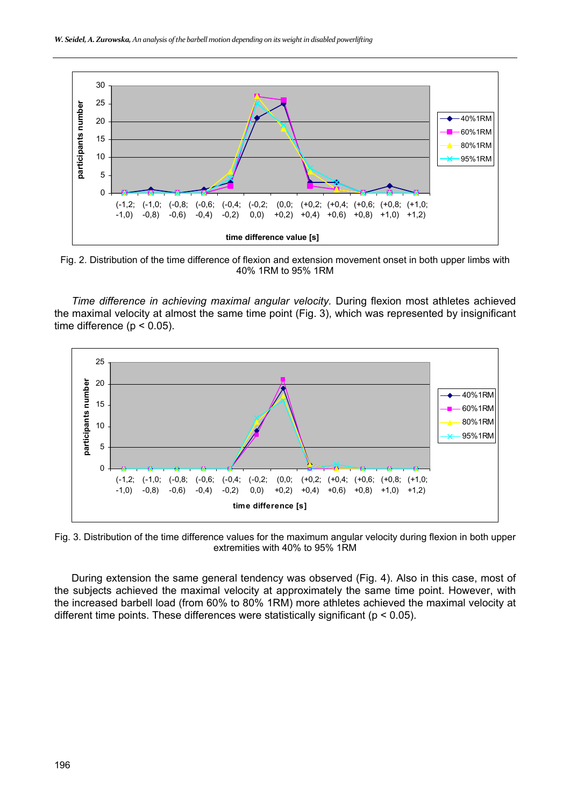

Fig. 2. Distribution of the time difference of flexion and extension movement onset in both upper limbs with 40% 1RM to 95% 1RM

*Time difference in achieving maximal angular velocity.* During flexion most athletes achieved the maximal velocity at almost the same time point (Fig. 3), which was represented by insignificant time difference ( $p < 0.05$ ).



Fig. 3. Distribution of the time difference values for the maximum angular velocity during flexion in both upper extremities with 40% to 95% 1RM

During extension the same general tendency was observed (Fig. 4). Also in this case, most of the subjects achieved the maximal velocity at approximately the same time point. However, with the increased barbell load (from 60% to 80% 1RM) more athletes achieved the maximal velocity at different time points. These differences were statistically significant ( $p < 0.05$ ).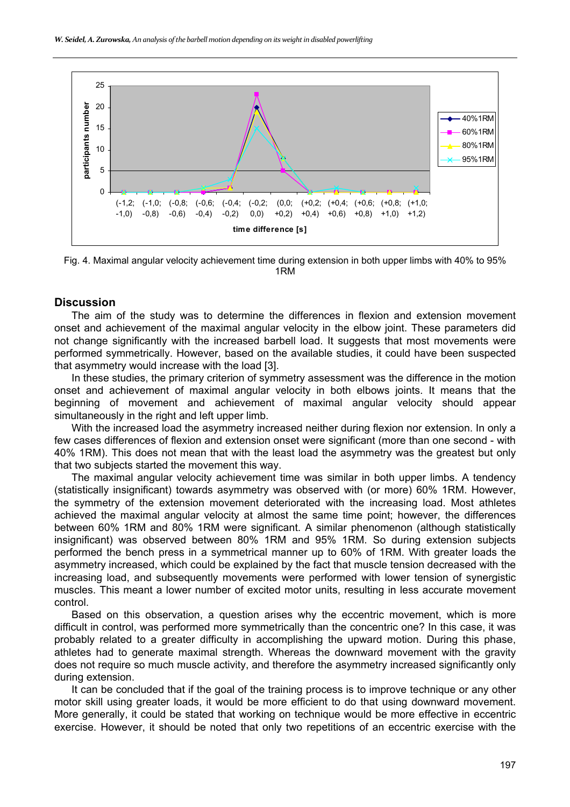

Fig. 4. Maximal angular velocity achievement time during extension in both upper limbs with 40% to 95% 1RM

#### **Discussion**

The aim of the study was to determine the differences in flexion and extension movement onset and achievement of the maximal angular velocity in the elbow joint. These parameters did not change significantly with the increased barbell load. It suggests that most movements were performed symmetrically. However, based on the available studies, it could have been suspected that asymmetry would increase with the load [3].

In these studies, the primary criterion of symmetry assessment was the difference in the motion onset and achievement of maximal angular velocity in both elbows joints. It means that the beginning of movement and achievement of maximal angular velocity should appear simultaneously in the right and left upper limb.

With the increased load the asymmetry increased neither during flexion nor extension. In only a few cases differences of flexion and extension onset were significant (more than one second - with 40% 1RM). This does not mean that with the least load the asymmetry was the greatest but only that two subjects started the movement this way.

The maximal angular velocity achievement time was similar in both upper limbs. A tendency (statistically insignificant) towards asymmetry was observed with (or more) 60% 1RM. However, the symmetry of the extension movement deteriorated with the increasing load. Most athletes achieved the maximal angular velocity at almost the same time point; however, the differences between 60% 1RM and 80% 1RM were significant. A similar phenomenon (although statistically insignificant) was observed between 80% 1RM and 95% 1RM. So during extension subjects performed the bench press in a symmetrical manner up to 60% of 1RM. With greater loads the asymmetry increased, which could be explained by the fact that muscle tension decreased with the increasing load, and subsequently movements were performed with lower tension of synergistic muscles. This meant a lower number of excited motor units, resulting in less accurate movement control.

Based on this observation, a question arises why the eccentric movement, which is more difficult in control, was performed more symmetrically than the concentric one? In this case, it was probably related to a greater difficulty in accomplishing the upward motion. During this phase, athletes had to generate maximal strength. Whereas the downward movement with the gravity does not require so much muscle activity, and therefore the asymmetry increased significantly only during extension.

It can be concluded that if the goal of the training process is to improve technique or any other motor skill using greater loads, it would be more efficient to do that using downward movement. More generally, it could be stated that working on technique would be more effective in eccentric exercise. However, it should be noted that only two repetitions of an eccentric exercise with the